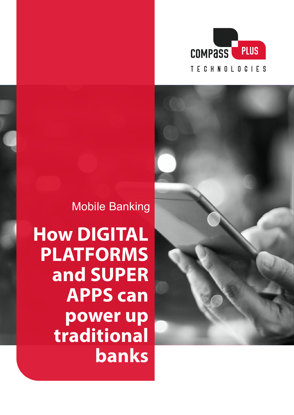



Mobile Banking

**How DIGITAL PLATFORMS and SUPER APPS can power up traditional banks**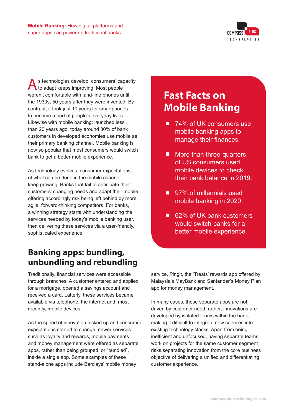

s technologies develop, consumers' capacity to adapt keeps improving. Most people weren't comfortable with land-line phones until the 1930s, 50 years after they were invented. By contrast, it took just 10 years for smartphones to become a part of people's everyday lives. Likewise with mobile banking: launched less than 20 years ago, today around 80% of bank customers in developed economies use mobile as their primary banking channel. Mobile banking is now so popular that most consumers would switch bank to get a better mobile experience.

As technology evolves, consumer expectations of what can be done in the mobile channel keep growing. Banks that fail to anticipate their customers' changing needs and adapt their mobile offering accordingly risk being left behind by more agile, forward-thinking competitors. For banks, a winning strategy starts with understanding the services needed by today's mobile banking user, then delivering these services via a user-friendly, sophisticated experience.

## **Banking apps: bundling, unbundling and rebundling**

Traditionally, financial services were accessible through branches. A customer entered and applied for a mortgage, opened a savings account and received a card. Latterly, these services became available via telephone, the internet and, most recently, mobile devices.

As the speed of innovation picked up and consumer expectations started to change, newer services such as loyalty and rewards, mobile payments and money management were offered as separate apps, rather than being grouped, or "bundled", inside a single app. Some examples of these stand-alone apps include Barclays' mobile money

# **Fast Facts on Mobile Banking**

- 74% of UK consumers use mobile banking apps to manage their finances.
- More than three-quarters of US consumers used mobile devices to check their bank balance in 2019.
- 97% of millennials used mobile banking in 2020.
- 62% of UK bank customers would switch banks for a better mobile experience.

service, Pingit, the 'Treats' rewards app offered by Malaysia's MayBank and Santander's Money Plan app for money management.

In many cases, these separate apps are not driven by customer need: rather, innovations are developed by isolated teams within the bank, making it difficult to integrate new services into existing technology stacks. Apart from being inefficient and unfocused, having separate teams work on projects for the same customer segment risks separating innovation from the core business objective of delivering a unified and differentiating customer experience.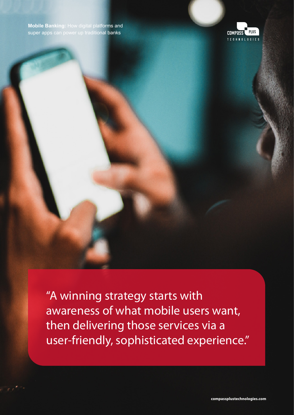**Mobile Banking:** How digital platforms and super apps can power up traditional banks



"A winning strategy starts with awareness of what mobile users want, then delivering those services via a user-friendly, sophisticated experience."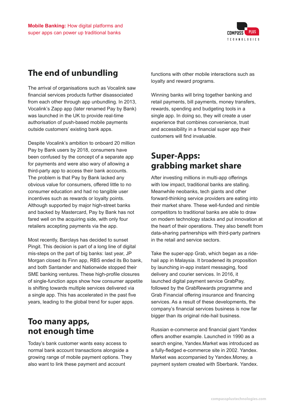

# **The end of unbundling**

The arrival of organisations such as Vocalink saw financial services products further disassociated from each other through app unbundling. In 2013, Vocalink's Zapp app (later renamed Pay by Bank) was launched in the UK to provide real-time authorisation of push-based mobile payments outside customers' existing bank apps.

Despite Vocalink's ambition to onboard 20 million Pay by Bank users by 2018, consumers have been confused by the concept of a separate app for payments and were also wary of allowing a third-party app to access their bank accounts. The problem is that Pay by Bank lacked any obvious value for consumers, offered little to no consumer education and had no tangible user incentives such as rewards or loyalty points. Although supported by major high-street banks and backed by Mastercard, Pay by Bank has not fared well on the acquiring side, with only four retailers accepting payments via the app.

Most recently, Barclays has decided to sunset Pingit. This decision is part of a long line of digital mis-steps on the part of big banks: last year, JP Morgan closed its Finn app, RBS ended its Bo bank, and both Santander and Nationwide stopped their SME banking ventures. These high-profile closures of single-function apps show how consumer appetite is shifting towards multiple services delivered via a single app. This has accelerated in the past five years, leading to the global trend for super apps.

#### **Too many apps, not enough time**

Today's bank customer wants easy access to normal bank account transactions alongside a growing range of mobile payment options. They also want to link these payment and account

functions with other mobile interactions such as loyalty and reward programs.

Winning banks will bring together banking and retail payments, bill payments, money transfers, rewards, spending and budgeting tools in a single app. In doing so, they will create a user experience that combines convenience, trust and accessibility in a financial super app their customers will find invaluable.

### **Super-Apps: grabbing market share**

After investing millions in multi-app offerings with low impact, traditional banks are stalling. Meanwhile neobanks, tech giants and other forward-thinking service providers are eating into their market share. These well-funded and nimble competitors to traditional banks are able to draw on modern technology stacks and put innovation at the heart of their operations. They also benefit from data-sharing partnerships with third-party partners in the retail and service sectors.

Take the super-app Grab, which began as a ridehail app in Malaysia. It broadened its proposition by launching in-app instant messaging, food delivery and courier services. In 2016, it launched digital payment service GrabPay, followed by the GrabRewards programme and Grab Financial offering insurance and financing services. As a result of these developments, the company's financial services business is now far bigger than its original ride-hail business.

Russian e-commerce and financial giant Yandex offers another example. Launched in 1990 as a search engine, Yandex.Market was introduced as a fully-fledged e-commerce site in 2002. Yandex. Market was accompanied by Yandex.Money, a payment system created with Sberbank. Yandex.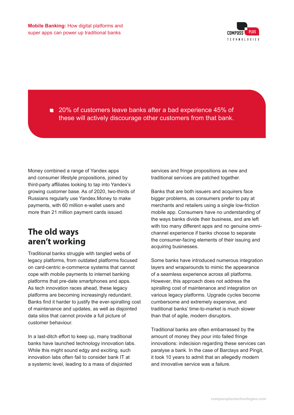

■ 20% of customers leave banks after a bad experience 45% of these will actively discourage other customers from that bank.

Money combined a range of Yandex apps and consumer lifestyle propositions, joined by third-party affiliates looking to tap into Yandex's growing customer base. As of 2020, two-thirds of Russians regularly use Yandex.Money to make payments, with 60 million e-wallet users and more than 21 million payment cards issued.

## **The old ways aren't working**

Traditional banks struggle with tangled webs of legacy platforms, from outdated platforms focused on card-centric e-commerce systems that cannot cope with mobile payments to internet banking platforms that pre-date smartphones and apps. As tech innovation races ahead, these legacy platforms are becoming increasingly redundant. Banks find it harder to justify the ever-spiralling cost of maintenance and updates, as well as disjointed data silos that cannot provide a full picture of customer behaviour.

In a last-ditch effort to keep up, many traditional banks have launched technology innovation labs. While this might sound edgy and exciting, such innovation labs often fail to consider bank IT at a systemic level, leading to a mass of disjointed

services and fringe propositions as new and traditional services are patched together.

Banks that are both issuers and acquirers face bigger problems, as consumers prefer to pay at merchants and retailers using a single low-friction mobile app. Consumers have no understanding of the ways banks divide their business, and are left with too many different apps and no genuine omnichannel experience if banks choose to separate the consumer-facing elements of their issuing and acquiring businesses.

Some banks have introduced numerous integration layers and wraparounds to mimic the appearance of a seamless experience across all platforms. However, this approach does not address the spiralling cost of maintenance and integration on various legacy platforms. Upgrade cycles become cumbersome and extremely expensive, and traditional banks' time-to-market is much slower than that of agile, modern disruptors.

Traditional banks are often embarrassed by the amount of money they pour into failed fringe innovations: indecision regarding these services can paralyse a bank. In the case of Barclays and Pingit, it took 10 years to admit that an allegedly modern and innovative service was a failure.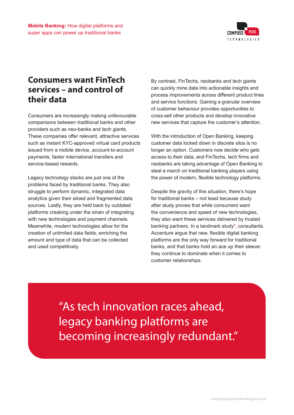

#### **Consumers want FinTech services – and control of their data**

Consumers are increasingly making unfavourable comparisons between traditional banks and other providers such as neo-banks and tech giants. These companies offer relevant, attractive services such as instant KYC-approved virtual card products issued from a mobile device, account-to-account payments, faster international transfers and service-based rewards.

Legacy technology stacks are just one of the problems faced by traditional banks. They also struggle to perform dynamic, integrated data analytics given their siloed and fragmented data sources. Lastly, they are held back by outdated platforms creaking under the strain of integrating with new technologies and payment channels. Meanwhile, modern technologies allow for the creation of unlimited data fields, enriching the amount and type of data that can be collected and used competitively.

By contrast, FinTechs, neobanks and tech giants can quickly mine data into actionable insights and process improvements across different product lines and service functions. Gaining a granular overview of customer behaviour provides opportunities to cross-sell other products and develop innovative new services that capture the customer's attention.

With the introduction of Open Banking, keeping customer data locked down in discrete silos is no longer an option. Customers now decide who gets access to their data, and FinTechs, tech firms and neobanks are taking advantage of Open Banking to steal a march on traditional banking players using the power of modern, flexible technology platforms.

Despite the gravity of this situation, there's hope for traditional banks – not least because study after study proves that while consumers want the convenience and speed of new technologies, they also want these services delivered by trusted banking partners. In a landmark study**<sup>1</sup>** , consultants Accenture argue that new, flexible digital banking platforms are the only way forward for traditional banks, and that banks hold an ace up their sleeve: they continue to dominate when it comes to customer relationships.

"As tech innovation races ahead, legacy banking platforms are becoming increasingly redundant."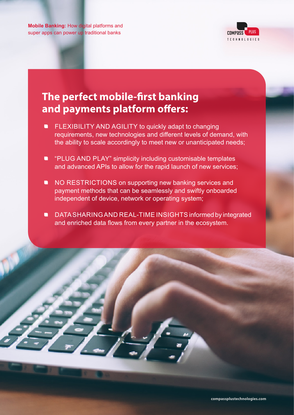**Mobile Banking:** How digital platforms and super apps can power up traditional banks



# **The perfect mobile-first banking and payments platform offers:**

- **FLEXIBILITY AND AGILITY to quickly adapt to changing** requirements, new technologies and different levels of demand, with the ability to scale accordingly to meet new or unanticipated needs;
- **•** "PLUG AND PLAY" simplicity including customisable templates and advanced APIs to allow for the rapid launch of new services;
- **NO RESTRICTIONS on supporting new banking services and** payment methods that can be seamlessly and swiftly onboarded independent of device, network or operating system;
- **DATA SHARING AND REAL-TIME INSIGHTS informed by integrated** and enriched data flows from every partner in the ecosystem.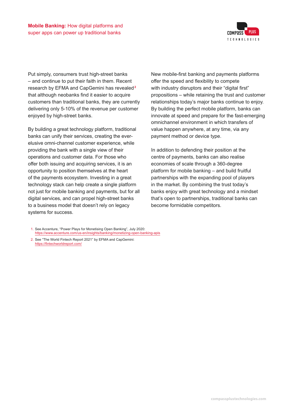

Put simply, consumers trust high-street banks – and continue to put their faith in them. Recent research by EFMA and CapGemini has revealed**<sup>2</sup>** that although neobanks find it easier to acquire customers than traditional banks, they are currently delivering only 5-10% of the revenue per customer enjoyed by high-street banks.

By building a great technology platform, traditional banks can unify their services, creating the everelusive omni-channel customer experience, while providing the bank with a single view of their operations and customer data. For those who offer both issuing and acquiring services, it is an opportunity to position themselves at the heart of the payments ecosystem. Investing in a great technology stack can help create a single platform not just for mobile banking and payments, but for all digital services, and can propel high-street banks to a business model that doesn't rely on legacy systems for success.

New mobile-first banking and payments platforms offer the speed and flexibility to compete with industry disruptors and their "digital first" propositions – while retaining the trust and customer relationships today's major banks continue to enjoy. By building the perfect mobile platform, banks can innovate at speed and prepare for the fast-emerging omnichannel environment in which transfers of value happen anywhere, at any time, via any payment method or device type.

In addition to defending their position at the centre of payments, banks can also realise economies of scale through a 360-degree platform for mobile banking – and build fruitful partnerships with the expanding pool of players in the market. By combining the trust today's banks enjoy with great technology and a mindset that's open to partnerships, traditional banks can become formidable competitors.

1. See Accenture, "Power Plays for Monetising Open Banking", July 2020: <https://www.accenture.com/us-en/insights/banking/monetizing-open-banking-apis>

2. See "The World Fintech Report 2021" by EFMA and CapGemini: <https://fintechworldreport.com/>